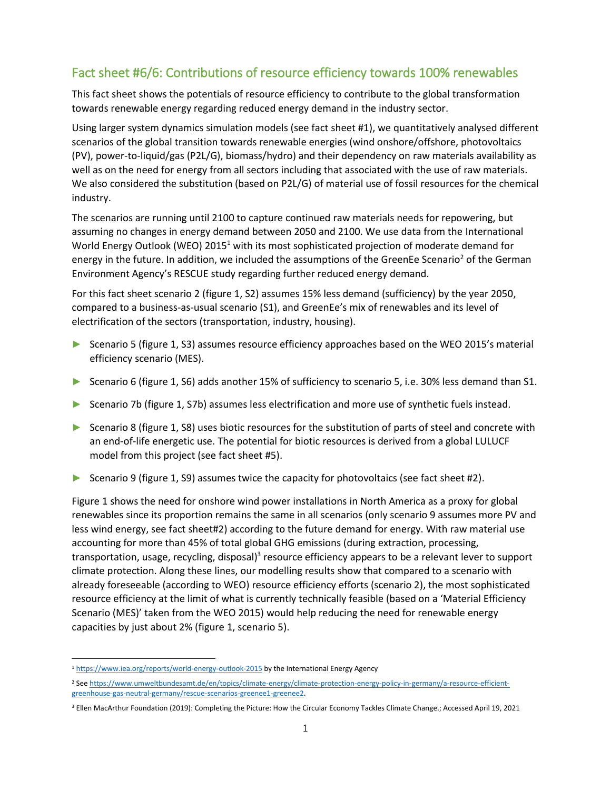## Fact sheet #6/6: Contributions of resource efficiency towards 100% renewables

This fact sheet shows the potentials of resource efficiency to contribute to the global transformation towards renewable energy regarding reduced energy demand in the industry sector.

Using larger system dynamics simulation models (see fact sheet #1), we quantitatively analysed different scenarios of the global transition towards renewable energies (wind onshore/offshore, photovoltaics (PV), power-to-liquid/gas (P2L/G), biomass/hydro) and their dependency on raw materials availability as well as on the need for energy from all sectors including that associated with the use of raw materials. We also considered the substitution (based on P2L/G) of material use of fossil resources for the chemical industry.

The scenarios are running until 2100 to capture continued raw materials needs for repowering, but assuming no changes in energy demand between 2050 and 2100. We use data from the International World Energy Outlook (WEO) 2015<sup>1</sup> with its most sophisticated projection of moderate demand for energy in the future. In addition, we included the assumptions of the GreenEe Scenario<sup>2</sup> of the German Environment Agency's RESCUE study regarding further reduced energy demand.

For this fact sheet scenario 2 (figure 1, S2) assumes 15% less demand (sufficiency) by the year 2050, compared to a business-as-usual scenario (S1), and GreenEe's mix of renewables and its level of electrification of the sectors (transportation, industry, housing).

- ► Scenario 5 (figure 1, S3) assumes resource efficiency approaches based on the WEO 2015's material efficiency scenario (MES).
- ► Scenario 6 (figure 1, S6) adds another 15% of sufficiency to scenario 5, i.e. 30% less demand than S1.
- ► Scenario 7b (figure 1, S7b) assumes less electrification and more use of synthetic fuels instead.
- ► Scenario 8 (figure 1, S8) uses biotic resources for the substitution of parts of steel and concrete with an end-of-life energetic use. The potential for biotic resources is derived from a global LULUCF model from this project (see fact sheet #5).
- ► Scenario 9 (figure 1, S9) assumes twice the capacity for photovoltaics (see fact sheet #2).

Figure 1 shows the need for onshore wind power installations in North America as a proxy for global renewables since its proportion remains the same in all scenarios (only scenario 9 assumes more PV and less wind energy, see fact sheet#2) according to the future demand for energy. With raw material use accounting for more than 45% of total global GHG emissions (during extraction, processing, transportation, usage, recycling, disposal)<sup>3</sup> resource efficiency appears to be a relevant lever to support climate protection. Along these lines, our modelling results show that compared to a scenario with already foreseeable (according to WEO) resource efficiency efforts (scenario 2), the most sophisticated resource efficiency at the limit of what is currently technically feasible (based on a 'Material Efficiency Scenario (MES)' taken from the WEO 2015) would help reducing the need for renewable energy capacities by just about 2% (figure 1, scenario 5).

<sup>1</sup> <https://www.iea.org/reports/world-energy-outlook-2015> by the International Energy Agency

<sup>2</sup> Se[e https://www.umweltbundesamt.de/en/topics/climate-energy/climate-protection-energy-policy-in-germany/a-resource-efficient](https://www.umweltbundesamt.de/en/topics/climate-energy/climate-protection-energy-policy-in-germany/a-resource-efficient-greenhouse-gas-neutral-germany/rescue-scenarios-greenee1-greenee2)[greenhouse-gas-neutral-germany/rescue-scenarios-greenee1-greenee2.](https://www.umweltbundesamt.de/en/topics/climate-energy/climate-protection-energy-policy-in-germany/a-resource-efficient-greenhouse-gas-neutral-germany/rescue-scenarios-greenee1-greenee2) 

<sup>3</sup> Ellen MacArthur Foundation (2019): Completing the Picture: How the Circular Economy Tackles Climate Change.; Accessed April 19, 2021